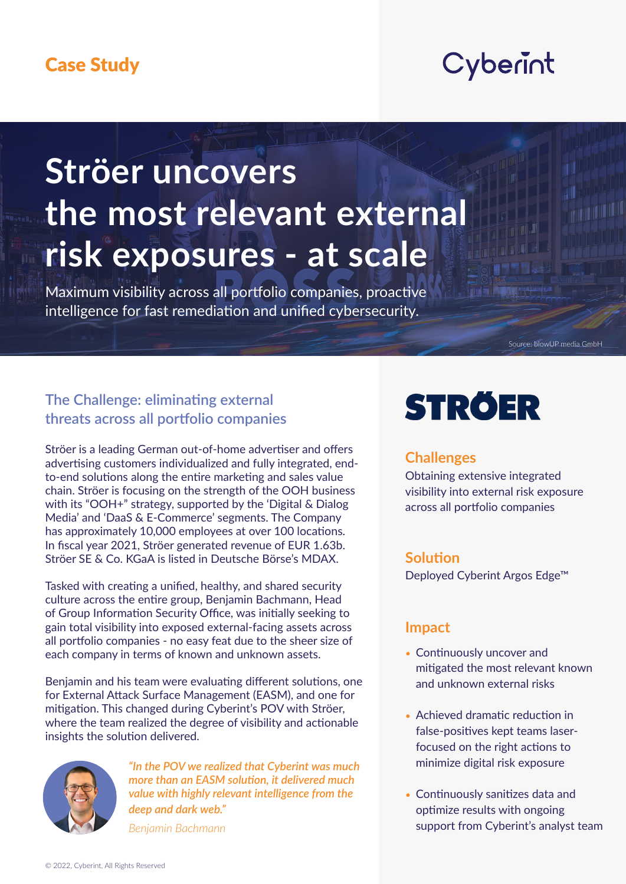# Cyberint

# **Ströer uncovers the most relevant external** risk exposures - at scale

Maximum visibility across all portfolio companies, proactive intelligence for fast remediation and unified cybersecurity.

Source: blowUP media GmbH

# **The Challenge: eliminating external threats across all portfolio companies**

Ströer is a leading German out-of-home advertiser and offers advertising customers individualized and fully integrated, end-<br>to-end solutions along the entire marketing and sales value chain. Ströer is focusing on the strength of the OOH business with its "OOH+" strategy, supported by the 'Digital & Dialog Media' and 'DaaS & E-Commerce' segments. The Company has approximately 10,000 employees at over 100 locations. In fiscal year 2021, Ströer generated revenue of EUR 1.63b. Ströer SE & Co. KGaA is listed in Deutsche Börse's MDAX.

Tasked with creating a unified, healthy, and shared security culture across the entire group, Benjamin Bachmann, Head of Group Information Security Office, was initially seeking to gain total visibility into exposed external-facing assets across all portfolio companies - no easy feat due to the sheer size of each company in terms of known and unknown assets.

Benjamin and his team were evaluating different solutions, one for External Attack Surface Management (EASM), and one for mitigation. This changed during Cyberint's POV with Ströer, where the team realized the degree of visibility and actionable insights the solution delivered.



"In the POV we realized that Cyberint was much *more than an EASM solution, it delivered much value with highly relevant intelligence from the* deep and dark web."

*Bachmann Benjamin*

# **STRÖER**

#### **Challenges**

Obtaining extensive integrated visibility into external risk exposure across all portfolio companies

#### **Solution**

Deployed Cyberint Argos Edge<sup>™</sup>

#### **Impact**

- Continuously uncover and mitigated the most relevant known and unknown external risks
- Achieved dramatic reduction in focused on the right actions to false-positives kept teams laserminimize digital risk exposure
- Continuously sanitizes data and optimize results with ongoing support from Cyberint's analyst team